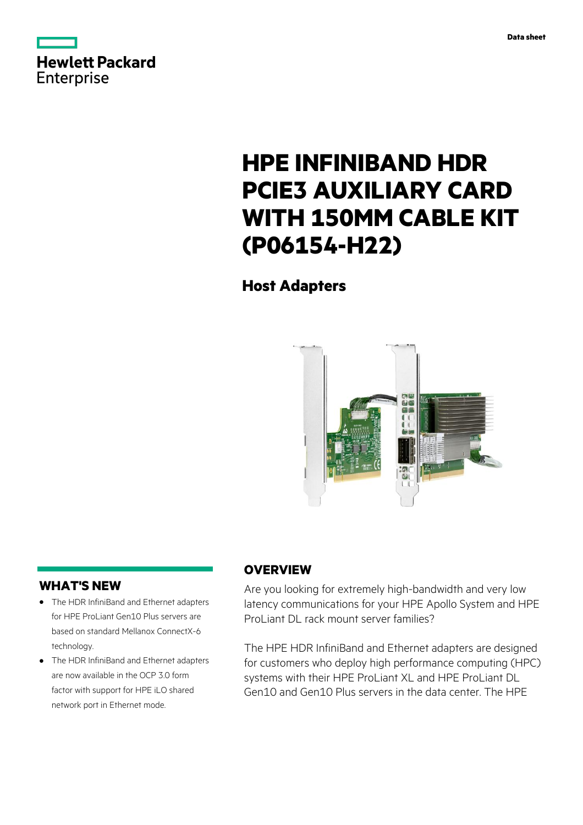



# **HPE INFINIBAND HDR PCIE3 AUXILIARY CARD WITH 150MM CABLE KIT (P06154-H22)**

# **Host Adapters**



### **WHAT'S NEW**

- **·** The HDR InfiniBand and Ethernet adapters for HPE ProLiant Gen10 Plus servers are based on standard Mellanox ConnectX-6 technology.
- **·** The HDR InfiniBand and Ethernet adapters are now available in the OCP 3.0 form factor with support for HPE iLO shared network port in Ethernet mode.

# **OVERVIEW**

Are you looking for extremely high-bandwidth and very low latency communications for your HPE Apollo System and HPE ProLiant DL rack mount server families?

The HPE HDR InfiniBand and Ethernet adapters are designed for customers who deploy high performance computing (HPC) systems with their HPE ProLiant XL and HPE ProLiant DL Gen10 and Gen10 Plus servers in the data center. The HPE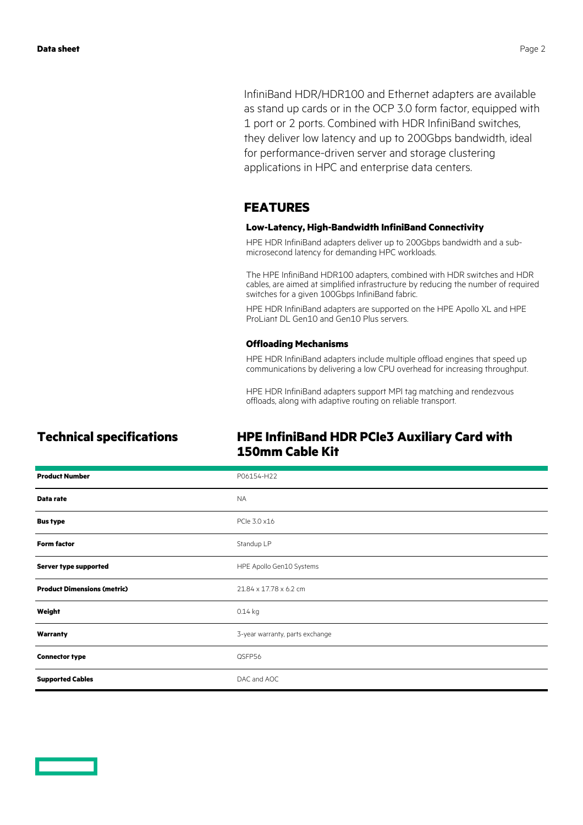InfiniBand HDR/HDR100 and Ethernet adapters are available as stand up cards or in the OCP 3.0 form factor, equipped with 1 port or 2 ports. Combined with HDR InfiniBand switches, they deliver low latency and up to 200Gbps bandwidth, ideal for performance-driven server and storage clustering applications in HPC and enterprise data centers.

### **FEATURES**

### **Low-Latency, High-Bandwidth InfiniBand Connectivity**

HPE HDR InfiniBand adapters deliver up to 200Gbps bandwidth and a submicrosecond latency for demanding HPC workloads.

The HPE InfiniBand HDR100 adapters, combined with HDR switches and HDR cables, are aimed at simplified infrastructure by reducing the number of required switches for a given 100Gbps InfiniBand fabric.

HPE HDR InfiniBand adapters are supported on the HPE Apollo XL and HPE ProLiant DL Gen10 and Gen10 Plus servers.

### **Offloading Mechanisms**

HPE HDR InfiniBand adapters include multiple offload engines that speed up communications by delivering a low CPU overhead for increasing throughput.

HPE HDR InfiniBand adapters support MPI tag matching and rendezvous offloads, along with adaptive routing on reliable transport.

# **Technical specifications HPE InfiniBand HDR PCIe3 Auxiliary Card with 150mm Cable Kit**

| <b>Product Number</b>              | P06154-H22                      |
|------------------------------------|---------------------------------|
| Data rate                          | <b>NA</b>                       |
| <b>Bus type</b>                    | PCIe 3.0 x16                    |
| <b>Form factor</b>                 | Standup LP                      |
| Server type supported              | HPE Apollo Gen10 Systems        |
| <b>Product Dimensions (metric)</b> | 21.84 x 17.78 x 6.2 cm          |
| Weight                             | $0.14$ kg                       |
| Warranty                           | 3-year warranty, parts exchange |
| <b>Connector type</b>              | QSFP56                          |
| <b>Supported Cables</b>            | DAC and AOC                     |